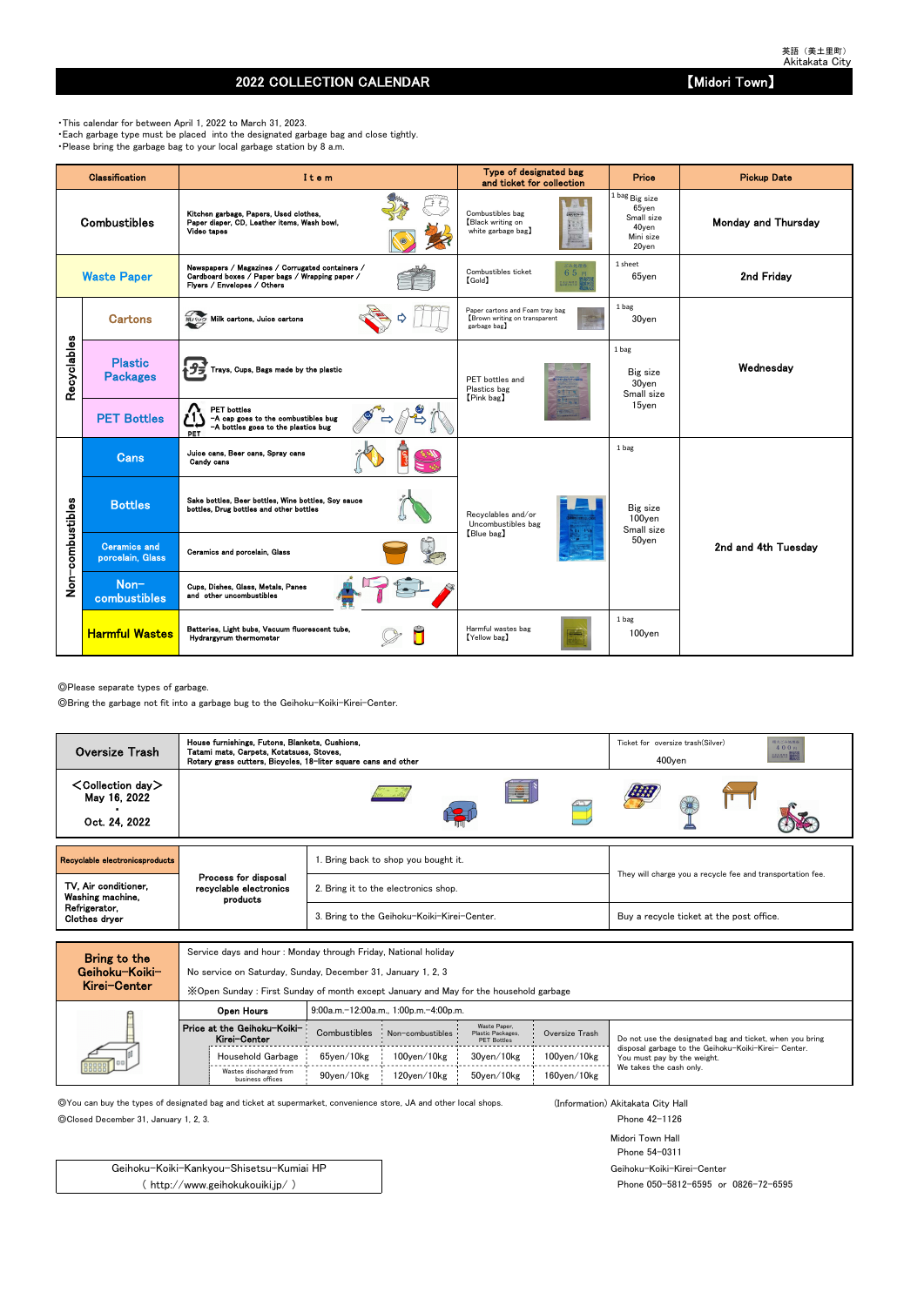## 2022 COLLECTION CALENDAR **No. 2022 COLLECTION** CALENDAR

◎Please separate types of garbage.

◎Bring the garbage not fit into a garbage bug to the Geihoku-Koiki-Kirei-Center.

Service days and hour : Monday through Friday, National holiday

No service on Saturday, Sunday, December 31, January 1, 2, 3

◎You can buy the types of designated bag and ticket at supermarket, convenience store, JA and other local shops. (Information) Akitakata City Hall

◎Closed December 31, January 1, 2, 3. Phone 42-1126

Midori Town Hall Phone 54-0311 Geihoku-Koiki-Kirei-Center Phone 050-5812-6595 or 0826-72-6595

・This calendar for between April 1, 2022 to March 31, 2023. ・Each garbage type must be placed into the designated garbage bag and close tightly. ・Please bring the garbage bag to your local garbage station by 8 a.m.

|                  | Classification                          | Item                                                                                                                               | Type of designated bag<br>and ticket for collection                             | <b>Price</b>                                                            | <b>Pickup Date</b>         |
|------------------|-----------------------------------------|------------------------------------------------------------------------------------------------------------------------------------|---------------------------------------------------------------------------------|-------------------------------------------------------------------------|----------------------------|
|                  | <b>Combustibles</b>                     | Kitchen garbage, Papers, Used clothes,<br>Paper diaper, CD, Leather items, Wash bowl,<br>Video tapes                               | Combustibles bag<br>Black writing on<br>white garbage bag)                      | 1 bag Big size<br>65yen<br>Small size<br>40yen<br>Mini size<br>$20$ yen | <b>Monday and Thursday</b> |
|                  | <b>Waste Paper</b>                      | Newspapers / Magazines / Corrugated containers /<br>Cardboard boxes / Paper bags / Wrapping paper /<br>Flyers / Envelopes / Others | ごみ処理券<br>Combustibles ticket<br>65円<br>$[\text{Gold}]$<br>主出 地界塔 田              | 1 sheet<br>$65$ yen                                                     | 2nd Friday                 |
|                  | <b>Cartons</b>                          | 紙/ック Milk cartons, Juice cartons                                                                                                   | Paper cartons and Foam tray bag<br>Brown writing on transparent<br>garbage bag) | 1 bag<br>30yen                                                          |                            |
| Recyclables      | <b>Plastic</b><br><b>Packages</b>       | Trays, Cups, Bags made by the plastic                                                                                              | PET bottles and<br>Plastics bag<br>[Pink bag]                                   | 1 bag<br>Big size<br>30yen<br>Small size                                | Wednesday                  |
|                  | <b>PET Bottles</b>                      | <b>PET</b> bottles<br>-A cap goes to the combustibles bug<br>-A bottles goes to the plastics bug<br>PET                            |                                                                                 | 15ven                                                                   |                            |
|                  | <b>Cans</b>                             | Juice cans, Beer cans, Spray cans<br>Candy cans                                                                                    |                                                                                 | 1 bag                                                                   |                            |
|                  | <b>Bottles</b>                          | Sake bottles, Beer bottles, Wine bottles, Soy sauce<br>bottles, Drug bottles and other bottles                                     | Recvolables and/or<br>Uncombustibles bag                                        | Big size<br>100yen<br>Small size                                        |                            |
| Non-combustibles | <b>Ceramics and</b><br>porcelain, Glass | Ceramics and porcelain, Glass                                                                                                      | [Blue bag]                                                                      | 50yen                                                                   | 2nd and 4th Tuesdav        |
|                  | Non-<br>combustibles                    | Cups, Dishes, Glass, Metals, Panes<br>and other uncombustibles                                                                     |                                                                                 |                                                                         |                            |
|                  | <b>Harmful Wastes</b>                   | Batteries, Light bubs, Vacuum fluorescent tube,<br>Hydrargyrum thermometer                                                         | Harmful wastes bag<br>[Yellow bag]                                              | 1 bag<br>100yen                                                         |                            |

| MIGI VEILEI | X Open Sunday: First Sunday of month except January and May for the household garbage |              |                                       |                                                         |                    |                                                                                     |  |  |  |  |  |  |
|-------------|---------------------------------------------------------------------------------------|--------------|---------------------------------------|---------------------------------------------------------|--------------------|-------------------------------------------------------------------------------------|--|--|--|--|--|--|
|             | Open Hours                                                                            |              | 9:00a.m.-12:00a.m., 1:00p.m.-4:00p.m. |                                                         |                    |                                                                                     |  |  |  |  |  |  |
|             | Price at the Geihoku-Koiki-<br>Kirei-Center                                           | Combustibles | Non-combustibles                      | Waste Paper.<br>Plastic Packages,<br><b>PET Bottles</b> | Oversize Trash     | Do not use the designated bag and ticket, when you bring                            |  |  |  |  |  |  |
| 000000      | Household Garbage                                                                     | 65ven/10kg   | $100$ ven $/10$ kg                    | 30ven/10kg                                              | $100$ yen $/10$ kg | disposal garbage to the Geihoku-Koiki-Kirei- Center.<br>You must pay by the weight. |  |  |  |  |  |  |
|             | Wastes discharged from<br>business offices                                            | 90ven/10kg   | 120ven/10kg                           | 50ven/10kg                                              | $160$ ven $/10$ kg | We takes the cash only.                                                             |  |  |  |  |  |  |

Geihoku-Koiki-Kankyou-Shisetsu-Kumiai HP ( http://www.geihokukouiki.jp/ )

| <b>Oversize Trash</b>                                      | House furnishings, Futons, Blankets, Cushions,<br>Tatami mats, Carpets, Kotatsues, Stoves,<br>Rotary grass cutters, Bicycles, 18-liter square cans and other |                                             | 粗大ごみ処理券<br>Ticket for oversize trash (Silver)<br>400円<br><b>言志広林県美 電源地区</b><br>$400$ yen |  |  |  |  |
|------------------------------------------------------------|--------------------------------------------------------------------------------------------------------------------------------------------------------------|---------------------------------------------|------------------------------------------------------------------------------------------|--|--|--|--|
| $\leq$ Collection day $>$<br>May 16, 2022<br>Oct. 24, 2022 |                                                                                                                                                              | IË.                                         |                                                                                          |  |  |  |  |
| Recyclable electronicsproducts                             |                                                                                                                                                              | 1. Bring back to shop you bought it.        |                                                                                          |  |  |  |  |
| TV, Air conditioner,<br>Washing machine,                   | Process for disposal<br>recyclable electronics<br>products                                                                                                   | 2. Bring it to the electronics shop.        | They will charge you a recycle fee and transportation fee.                               |  |  |  |  |
| Refrigerator,<br>Clothes dryer                             |                                                                                                                                                              | 3. Bring to the Geihoku-Koiki-Kirei-Center. | Buy a recycle ticket at the post office.                                                 |  |  |  |  |
|                                                            |                                                                                                                                                              |                                             |                                                                                          |  |  |  |  |

| Bring to the   |
|----------------|
| Geihoku−Koiki− |
| Kirei-Center   |